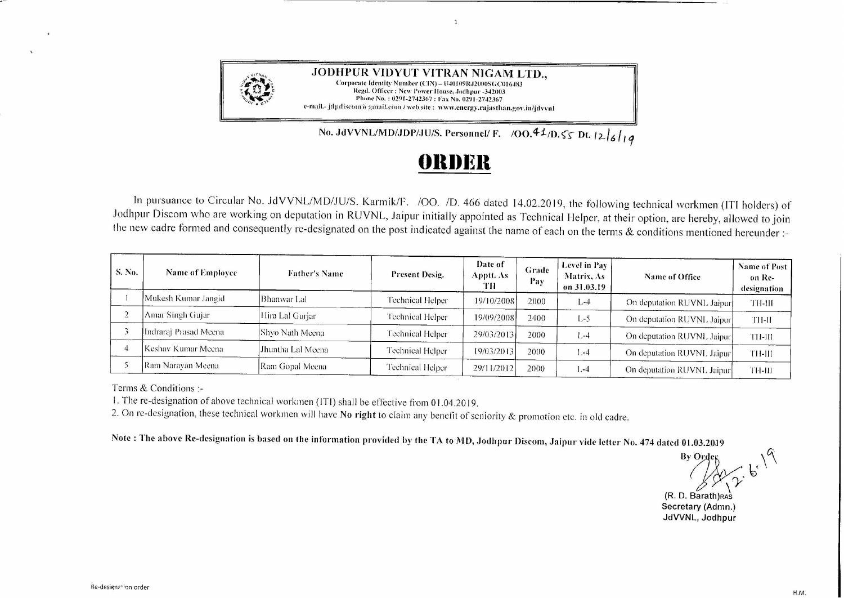

**.JODHPUR VIDYUT VITRAN NIGAM LTD.,**  Corporate Identity Number (CIN) - U40109RJ2000SGC016483 Regd. Officer: New Power House, Jodhpur -342003 Phone No.: 0291-2742367: Fax No. 0291-2742367 e-mail.- jdpdiscom'a gmail.com / web site : www.energy.rajasthan.gov.in/jdvvnl

No. JdVVNL/MD/JDP/JU/S. Personnel/ F. /OO. 41/D.  $\zeta$  S. Dt.  $|2|_6$  | | 9

## **f)lll)l~ll**

 $\overline{1}$ 

In pursuance to Circular No. JdVVNL/MD/JU/S. Karmik/F. /OO. /D. 466 dated 14.02.2019, the following technical workmen (ITI holders) of Jodhpur Discom who are working on deputation in RUVNL, Jaipur initially appointed as Technical Helper, at their option, are hereby, allowed to join the new cadre formed and consequently re-designated on the post indicated against the name of each on the terms & conditions mentioned hereunder:-

| S. No. | <b>Name of Employee</b> | <b>Father's Name</b> | Present Desig.   | Date of<br>Apptt. As-<br>TH | Grade<br>Pay | Level in Pay<br>Matrix, As<br>on 31.03.19 | Name of Office             | Name of Post<br>on Re-<br>designation |
|--------|-------------------------|----------------------|------------------|-----------------------------|--------------|-------------------------------------------|----------------------------|---------------------------------------|
|        | Mukesh Kumar Jangid     | Bhanwar Laf          | Technical Helper | 19/10/2008                  | 2000         | L-4                                       | On deputation RUVNL Jaipur | TH-III                                |
|        | Amar Singh Gujar        | Hira Lal Gurjar      | Technical Helper | 19/09/2008                  | 2400         | $L-5$                                     | On deputation RUVNL Jaipur | TH-IT                                 |
|        | Indraraj Prasad Meena-  | [Shvo Nath Meena]    | Technical Helper | 29/03/2013                  | 2000         | $1 - 4$                                   | On deputation RUVNL Jaipur | TH-III                                |
|        | Keshav Kumar Meena      | Jhuntha Lal Meena    | Technical Helper | 19/03/2013                  | 2000         | 1,-4                                      | On deputation RUVNL Jaipur | TH-III                                |
|        | Ram Naravan Meena       | Ram Gopal Meena      | Technical Helper | 29/11/2012                  | 2000         | l.-4                                      | On deputation RUVNL Jaipur | TH-III                                |

Terms & Conditions :-

1. The re-designation of above technical workmen (!TI) shall be effective from O I .04.2019.

2. On re-designation, these technical workmen will have **No right** to claim any benefit of seniority & promotion etc. in old cadre.

Note: The above Re-designation is based on the information provided by the TA to MD, Jodhpur Discom, Jaipur vide letter No. 474 dated 01.03.2019<br>By Order

 $\sqrt{\gamma}$  6 *l \ '}*  **(R. D. Barath)RAS** 

**Secretary (Admn.) JdVVNL, Jodhpur**